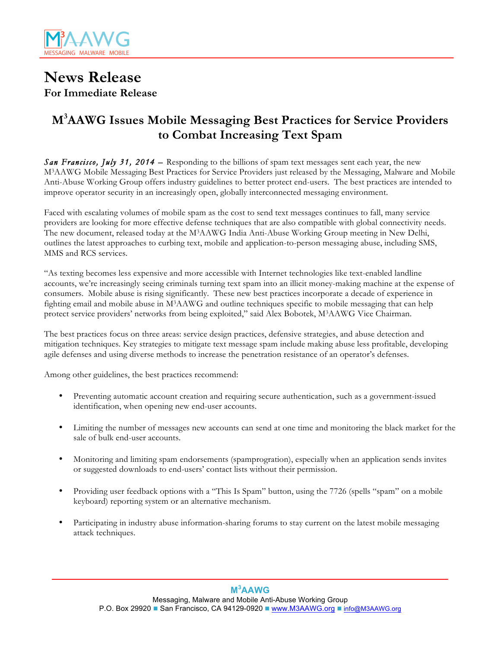

# **News Release For Immediate Release**

## **M3 AAWG Issues Mobile Messaging Best Practices for Service Providers to Combat Increasing Text Spam**

*San Francisco, July 31, 2014 – Responding to the billions of spam text messages sent each year, the new* M3AAWG Mobile Messaging Best Practices for Service Providers just released by the Messaging, Malware and Mobile Anti-Abuse Working Group offers industry guidelines to better protect end-users. The best practices are intended to improve operator security in an increasingly open, globally interconnected messaging environment.

Faced with escalating volumes of mobile spam as the cost to send text messages continues to fall, many service providers are looking for more effective defense techniques that are also compatible with global connectivity needs. The new document, released today at the M3AAWG India Anti-Abuse Working Group meeting in New Delhi, outlines the latest approaches to curbing text, mobile and application-to-person messaging abuse, including SMS, MMS and RCS services.

"As texting becomes less expensive and more accessible with Internet technologies like text-enabled landline accounts, we're increasingly seeing criminals turning text spam into an illicit money-making machine at the expense of consumers. Mobile abuse is rising significantly. These new best practices incorporate a decade of experience in fighting email and mobile abuse in M3AAWG and outline techniques specific to mobile messaging that can help protect service providers' networks from being exploited," said Alex Bobotek, M3AAWG Vice Chairman.

The best practices focus on three areas: service design practices, defensive strategies, and abuse detection and mitigation techniques. Key strategies to mitigate text message spam include making abuse less profitable, developing agile defenses and using diverse methods to increase the penetration resistance of an operator's defenses.

Among other guidelines, the best practices recommend:

- Preventing automatic account creation and requiring secure authentication, such as a government-issued identification, when opening new end-user accounts.
- Limiting the number of messages new accounts can send at one time and monitoring the black market for the sale of bulk end-user accounts.
- Monitoring and limiting spam endorsements (spamprogration), especially when an application sends invites or suggested downloads to end-users' contact lists without their permission.
- Providing user feedback options with a "This Is Spam" button, using the 7726 (spells "spam" on a mobile keyboard) reporting system or an alternative mechanism.
- Participating in industry abuse information-sharing forums to stay current on the latest mobile messaging attack techniques.